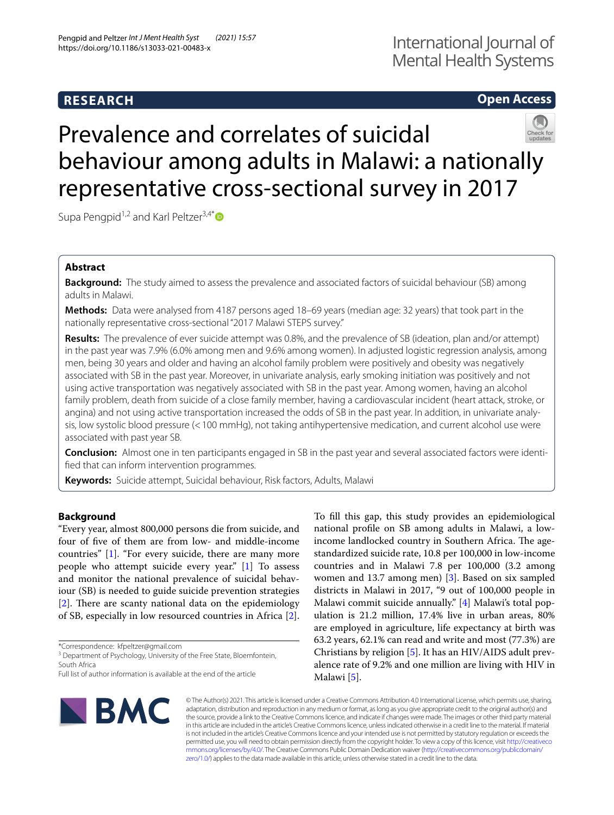# **RESEARCH**

# International Journal of Mental Health Systems

# **Open Access**



# Prevalence and correlates of suicidal behaviour among adults in Malawi: a nationally representative cross-sectional survey in 2017

Supa Pengpid<sup>1,2</sup> and Karl Peltzer<sup>3,4[\\*](http://orcid.org/0000-0002-5980-0876)</sup>

# **Abstract**

**Background:** The study aimed to assess the prevalence and associated factors of suicidal behaviour (SB) among adults in Malawi.

**Methods:** Data were analysed from 4187 persons aged 18–69 years (median age: 32 years) that took part in the nationally representative cross-sectional "2017 Malawi STEPS survey."

**Results:** The prevalence of ever suicide attempt was 0.8%, and the prevalence of SB (ideation, plan and/or attempt) in the past year was 7.9% (6.0% among men and 9.6% among women). In adjusted logistic regression analysis, among men, being 30 years and older and having an alcohol family problem were positively and obesity was negatively associated with SB in the past year. Moreover, in univariate analysis, early smoking initiation was positively and not using active transportation was negatively associated with SB in the past year. Among women, having an alcohol family problem, death from suicide of a close family member, having a cardiovascular incident (heart attack, stroke, or angina) and not using active transportation increased the odds of SB in the past year. In addition, in univariate analysis, low systolic blood pressure (<100 mmHg), not taking antihypertensive medication, and current alcohol use were associated with past year SB.

**Conclusion:** Almost one in ten participants engaged in SB in the past year and several associated factors were identifed that can inform intervention programmes.

**Keywords:** Suicide attempt, Suicidal behaviour, Risk factors, Adults, Malawi

## **Background**

"Every year, almost 800,000 persons die from suicide, and four of fve of them are from low- and middle-income countries" [\[1](#page-6-0)]. "For every suicide, there are many more people who attempt suicide every year." [[1\]](#page-6-0) To assess and monitor the national prevalence of suicidal behaviour (SB) is needed to guide suicide prevention strategies  $[2]$  $[2]$ . There are scanty national data on the epidemiology of SB, especially in low resourced countries in Africa [\[2](#page-6-1)].

\*Correspondence: kfpeltzer@gmail.com

To fll this gap, this study provides an epidemiological national profle on SB among adults in Malawi, a lowincome landlocked country in Southern Africa. The agestandardized suicide rate, 10.8 per 100,000 in low-income countries and in Malawi 7.8 per 100,000 (3.2 among women and 13.7 among men) [\[3](#page-6-2)]. Based on six sampled districts in Malawi in 2017, "9 out of 100,000 people in Malawi commit suicide annually." [[4](#page-6-3)] Malawi's total population is 21.2 million, 17.4% live in urban areas, 80% are employed in agriculture, life expectancy at birth was 63.2 years, 62.1% can read and write and most (77.3%) are Christians by religion [[5\]](#page-6-4). It has an HIV/AIDS adult prevalence rate of 9.2% and one million are living with HIV in Malawi [\[5](#page-6-4)].



© The Author(s) 2021. This article is licensed under a Creative Commons Attribution 4.0 International License, which permits use, sharing, adaptation, distribution and reproduction in any medium or format, as long as you give appropriate credit to the original author(s) and the source, provide a link to the Creative Commons licence, and indicate if changes were made. The images or other third party material in this article are included in the article's Creative Commons licence, unless indicated otherwise in a credit line to the material. If material is not included in the article's Creative Commons licence and your intended use is not permitted by statutory regulation or exceeds the permitted use, you will need to obtain permission directly from the copyright holder. To view a copy of this licence, visit [http://creativeco](http://creativecommons.org/licenses/by/4.0/) [mmons.org/licenses/by/4.0/.](http://creativecommons.org/licenses/by/4.0/) The Creative Commons Public Domain Dedication waiver ([http://creativecommons.org/publicdomain/](http://creativecommons.org/publicdomain/zero/1.0/) [zero/1.0/\)](http://creativecommons.org/publicdomain/zero/1.0/) applies to the data made available in this article, unless otherwise stated in a credit line to the data.

<sup>&</sup>lt;sup>3</sup> Department of Psychology, University of the Free State, Bloemfontein, South Africa

Full list of author information is available at the end of the article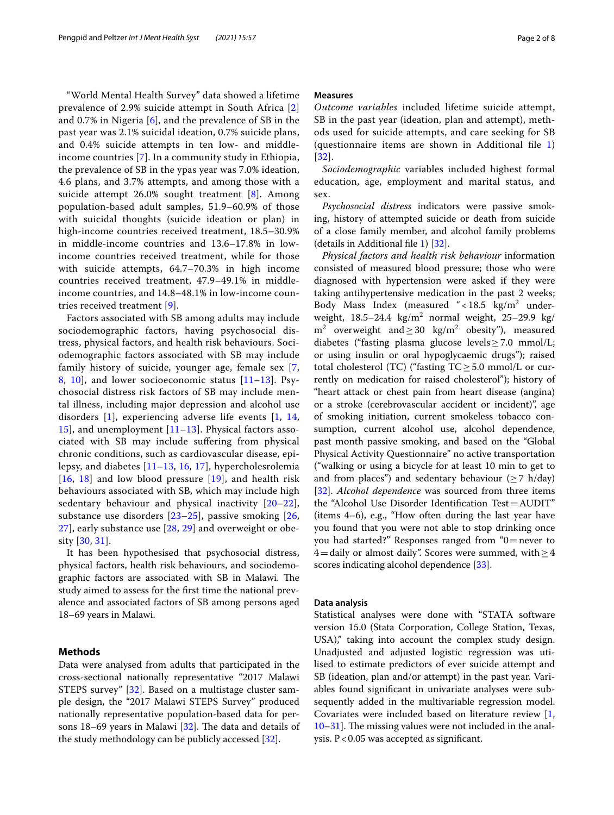"World Mental Health Survey" data showed a lifetime prevalence of 2.9% suicide attempt in South Africa [\[2](#page-6-1)] and 0.7% in Nigeria [\[6](#page-6-5)], and the prevalence of SB in the past year was 2.1% suicidal ideation, 0.7% suicide plans, and 0.4% suicide attempts in ten low- and middleincome countries [\[7](#page-6-6)]. In a community study in Ethiopia, the prevalence of SB in the ypas year was 7.0% ideation, 4.6 plans, and 3.7% attempts, and among those with a suicide attempt 26.0% sought treatment [\[8\]](#page-6-7). Among population-based adult samples, 51.9–60.9% of those with suicidal thoughts (suicide ideation or plan) in high-income countries received treatment, 18.5–30.9% in middle-income countries and 13.6–17.8% in lowincome countries received treatment, while for those with suicide attempts, 64.7–70.3% in high income countries received treatment, 47.9–49.1% in middleincome countries, and 14.8–48.1% in low-income countries received treatment [[9](#page-6-8)].

Factors associated with SB among adults may include sociodemographic factors, having psychosocial distress, physical factors, and health risk behaviours. Sociodemographic factors associated with SB may include family history of suicide, younger age, female sex [\[7](#page-6-6), [8,](#page-6-7) [10\]](#page-6-9), and lower socioeconomic status [\[11](#page-6-10)–[13\]](#page-6-11). Psychosocial distress risk factors of SB may include mental illness, including major depression and alcohol use disorders [[1\]](#page-6-0), experiencing adverse life events [\[1](#page-6-0), [14](#page-6-12), [15\]](#page-6-13), and unemployment [[11–](#page-6-10)[13\]](#page-6-11). Physical factors associated with SB may include sufering from physical chronic conditions, such as cardiovascular disease, epilepsy, and diabetes [\[11](#page-6-10)[–13,](#page-6-11) [16,](#page-7-0) [17](#page-7-1)], hypercholesrolemia  $[16, 18]$  $[16, 18]$  $[16, 18]$  $[16, 18]$  and low blood pressure  $[19]$  $[19]$ , and health risk behaviours associated with SB, which may include high sedentary behaviour and physical inactivity  $[20-22]$  $[20-22]$ , substance use disorders [[23–](#page-7-6)[25](#page-7-7)], passive smoking [\[26](#page-7-8), [27\]](#page-7-9), early substance use [[28,](#page-7-10) [29\]](#page-7-11) and overweight or obesity [\[30](#page-7-12), [31](#page-7-13)].

It has been hypothesised that psychosocial distress, physical factors, health risk behaviours, and sociodemographic factors are associated with SB in Malawi. The study aimed to assess for the frst time the national prevalence and associated factors of SB among persons aged 18–69 years in Malawi.

#### **Methods**

Data were analysed from adults that participated in the cross-sectional nationally representative "2017 Malawi STEPS survey" [\[32](#page-7-14)]. Based on a multistage cluster sample design, the "2017 Malawi STEPS Survey" produced nationally representative population-based data for persons 18–69 years in Malawi  $[32]$  $[32]$ . The data and details of the study methodology can be publicly accessed [\[32\]](#page-7-14).

#### **Measures**

*Outcome variables* included lifetime suicide attempt, SB in the past year (ideation, plan and attempt), methods used for suicide attempts, and care seeking for SB (questionnaire items are shown in Additional fle [1](#page-6-14)) [[32](#page-7-14)].

*Sociodemographic* variables included highest formal education, age, employment and marital status, and sex.

*Psychosocial distress* indicators were passive smoking, history of attempted suicide or death from suicide of a close family member, and alcohol family problems (details in Additional file [1](#page-6-14)) [\[32](#page-7-14)].

*Physical factors and health risk behaviour* information consisted of measured blood pressure; those who were diagnosed with hypertension were asked if they were taking antihypertensive medication in the past 2 weeks; Body Mass Index (measured "<18.5  $\text{kg/m}^2$  underweight,  $18.5-24.4 \text{ kg/m}^2$  normal weight,  $25-29.9 \text{ kg}$ m<sup>2</sup> overweight and  $\geq$  30 kg/m<sup>2</sup> obesity"), measured diabetes ("fasting plasma glucose levels≥7.0 mmol/L; or using insulin or oral hypoglycaemic drugs"); raised total cholesterol (TC) ("fasting  $TC \ge 5.0$  mmol/L or currently on medication for raised cholesterol"); history of "heart attack or chest pain from heart disease (angina) or a stroke (cerebrovascular accident or incident)", age of smoking initiation, current smokeless tobacco consumption, current alcohol use, alcohol dependence, past month passive smoking, and based on the "Global Physical Activity Questionnaire" no active transportation ("walking or using a bicycle for at least 10 min to get to and from places") and sedentary behaviour ( $\geq$  7 h/day) [[32\]](#page-7-14). *Alcohol dependence* was sourced from three items the "Alcohol Use Disorder Identifcation Test=AUDIT" (items 4–6), e.g., "How often during the last year have you found that you were not able to stop drinking once you had started?" Responses ranged from "0=never to 4=daily or almost daily". Scores were summed, with  $\geq$  4 scores indicating alcohol dependence [\[33](#page-7-15)].

#### **Data analysis**

Statistical analyses were done with "STATA software version 15.0 (Stata Corporation, College Station, Texas, USA)," taking into account the complex study design. Unadjusted and adjusted logistic regression was utilised to estimate predictors of ever suicide attempt and SB (ideation, plan and/or attempt) in the past year. Variables found signifcant in univariate analyses were subsequently added in the multivariable regression model. Covariates were included based on literature review [\[1](#page-6-0),  $10-31$  $10-31$ . The missing values were not included in the analysis. P<0.05 was accepted as signifcant.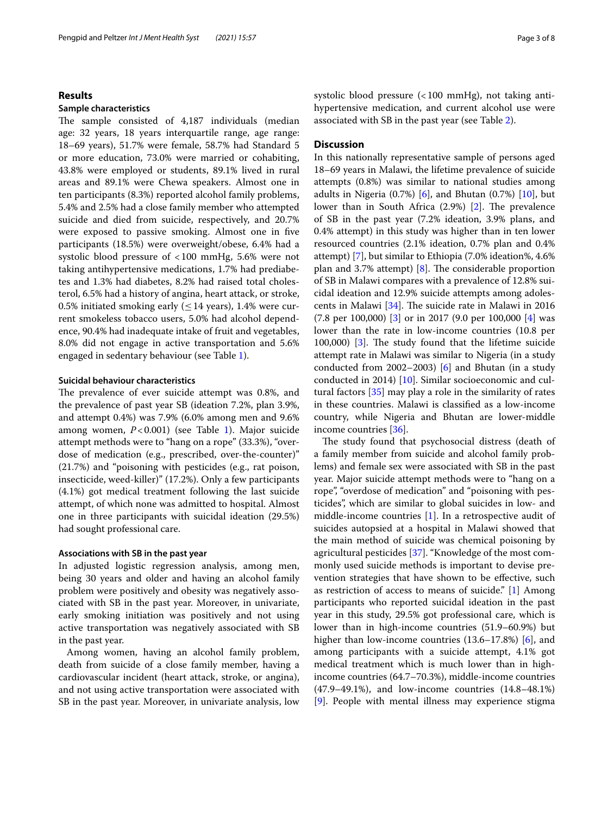#### **Results**

#### **Sample characteristics**

The sample consisted of 4,187 individuals (median age: 32 years, 18 years interquartile range, age range: 18–69 years), 51.7% were female, 58.7% had Standard 5 or more education, 73.0% were married or cohabiting, 43.8% were employed or students, 89.1% lived in rural areas and 89.1% were Chewa speakers. Almost one in ten participants (8.3%) reported alcohol family problems, 5.4% and 2.5% had a close family member who attempted suicide and died from suicide, respectively, and 20.7% were exposed to passive smoking. Almost one in fve participants (18.5%) were overweight/obese, 6.4% had a systolic blood pressure of <100 mmHg, 5.6% were not taking antihypertensive medications, 1.7% had prediabetes and 1.3% had diabetes, 8.2% had raised total cholesterol, 6.5% had a history of angina, heart attack, or stroke, 0.5% initiated smoking early ( $\leq$  14 years), 1.4% were current smokeless tobacco users, 5.0% had alcohol dependence, 90.4% had inadequate intake of fruit and vegetables, 8.0% did not engage in active transportation and 5.6% engaged in sedentary behaviour (see Table [1](#page-3-0)).

#### **Suicidal behaviour characteristics**

The prevalence of ever suicide attempt was 0.8%, and the prevalence of past year SB (ideation 7.2%, plan 3.9%, and attempt 0.4%) was 7.9% (6.0% among men and 9.6% among women, *P*<0.001) (see Table [1](#page-3-0)). Major suicide attempt methods were to "hang on a rope" (33.3%), "overdose of medication (e.g., prescribed, over-the-counter)" (21.7%) and "poisoning with pesticides (e.g., rat poison, insecticide, weed-killer)" (17.2%). Only a few participants (4.1%) got medical treatment following the last suicide attempt, of which none was admitted to hospital. Almost one in three participants with suicidal ideation (29.5%) had sought professional care.

#### **Associations with SB in the past year**

In adjusted logistic regression analysis, among men, being 30 years and older and having an alcohol family problem were positively and obesity was negatively associated with SB in the past year. Moreover, in univariate, early smoking initiation was positively and not using active transportation was negatively associated with SB in the past year.

Among women, having an alcohol family problem, death from suicide of a close family member, having a cardiovascular incident (heart attack, stroke, or angina), and not using active transportation were associated with SB in the past year. Moreover, in univariate analysis, low systolic blood pressure (<100 mmHg), not taking antihypertensive medication, and current alcohol use were associated with SB in the past year (see Table [2](#page-5-0)).

#### **Discussion**

In this nationally representative sample of persons aged 18–69 years in Malawi, the lifetime prevalence of suicide attempts (0.8%) was similar to national studies among adults in Nigeria  $(0.7%)$  [\[6](#page-6-5)], and Bhutan  $(0.7%)$  [\[10](#page-6-9)], but lower than in South Africa  $(2.9%)$   $[2]$  $[2]$ . The prevalence of SB in the past year (7.2% ideation, 3.9% plans, and 0.4% attempt) in this study was higher than in ten lower resourced countries (2.1% ideation, 0.7% plan and 0.4% attempt) [\[7](#page-6-6)], but similar to Ethiopia (7.0% ideation%, 4.6% plan and 3.7% attempt)  $[8]$  $[8]$ . The considerable proportion of SB in Malawi compares with a prevalence of 12.8% suicidal ideation and 12.9% suicide attempts among adolescents in Malawi  $[34]$  $[34]$  $[34]$ . The suicide rate in Malawi in 2016 (7.8 per 100,000) [\[3](#page-6-2)] or in 2017 (9.0 per 100,000 [[4\]](#page-6-3) was lower than the rate in low-income countries (10.8 per 100,000) [\[3](#page-6-2)]. The study found that the lifetime suicide attempt rate in Malawi was similar to Nigeria (in a study conducted from 2002–2003) [\[6](#page-6-5)] and Bhutan (in a study conducted in 2014) [\[10](#page-6-9)]. Similar socioeconomic and cultural factors [\[35](#page-7-17)] may play a role in the similarity of rates in these countries. Malawi is classifed as a low-income country, while Nigeria and Bhutan are lower-middle income countries [\[36\]](#page-7-18).

The study found that psychosocial distress (death of a family member from suicide and alcohol family problems) and female sex were associated with SB in the past year. Major suicide attempt methods were to "hang on a rope", "overdose of medication" and "poisoning with pesticides", which are similar to global suicides in low- and middle-income countries [\[1](#page-6-0)]. In a retrospective audit of suicides autopsied at a hospital in Malawi showed that the main method of suicide was chemical poisoning by agricultural pesticides [\[37\]](#page-7-19). "Knowledge of the most commonly used suicide methods is important to devise prevention strategies that have shown to be efective, such as restriction of access to means of suicide." [\[1](#page-6-0)] Among participants who reported suicidal ideation in the past year in this study, 29.5% got professional care, which is lower than in high-income countries (51.9–60.9%) but higher than low-income countries (13.6–17.8%) [[6\]](#page-6-5), and among participants with a suicide attempt, 4.1% got medical treatment which is much lower than in highincome countries (64.7–70.3%), middle-income countries (47.9–49.1%), and low-income countries (14.8–48.1%) [[9\]](#page-6-8). People with mental illness may experience stigma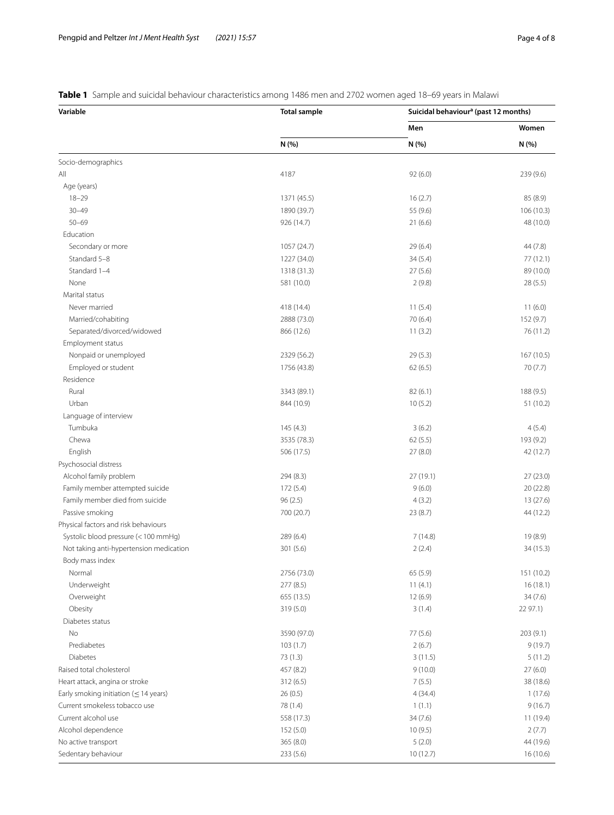| Variable                                    | <b>Total sample</b> | Suicidal behaviour <sup>a</sup> (past 12 months) |                |
|---------------------------------------------|---------------------|--------------------------------------------------|----------------|
|                                             |                     | Men<br>N (%)                                     | Women<br>N (%) |
|                                             | N (%)               |                                                  |                |
| Socio-demographics                          |                     |                                                  |                |
| All                                         | 4187                | 92(6.0)                                          | 239 (9.6)      |
| Age (years)                                 |                     |                                                  |                |
| $18 - 29$                                   | 1371 (45.5)         | 16(2.7)                                          | 85 (8.9)       |
| $30 - 49$                                   | 1890 (39.7)         | 55 (9.6)                                         | 106 (10.3)     |
| $50 - 69$                                   | 926 (14.7)          | 21(6.6)                                          | 48 (10.0)      |
| Education                                   |                     |                                                  |                |
| Secondary or more                           | 1057 (24.7)         | 29 (6.4)                                         | 44 (7.8)       |
| Standard 5-8                                | 1227 (34.0)         | 34(5.4)                                          | 77 (12.1)      |
| Standard 1-4                                | 1318 (31.3)         | 27(5.6)                                          | 89 (10.0)      |
| None                                        | 581 (10.0)          | 2(9.8)                                           | 28 (5.5)       |
| Marital status                              |                     |                                                  |                |
| Never married                               | 418 (14.4)          | 11(5.4)                                          | 11(6.0)        |
| Married/cohabiting                          | 2888 (73.0)         | 70 (6.4)                                         | 152 (9.7)      |
| Separated/divorced/widowed                  | 866 (12.6)          | 11(3.2)                                          | 76 (11.2)      |
| Employment status                           |                     |                                                  |                |
| Nonpaid or unemployed                       | 2329 (56.2)         | 29(5.3)                                          | 167 (10.5)     |
| Employed or student                         | 1756 (43.8)         | 62(6.5)                                          | 70 (7.7)       |
| Residence                                   |                     |                                                  |                |
| Rural                                       | 3343 (89.1)         | 82(6.1)                                          | 188 (9.5)      |
| Urban                                       | 844 (10.9)          | 10(5.2)                                          | 51 (10.2)      |
| Language of interview                       |                     |                                                  |                |
| Tumbuka                                     | 145 (4.3)           | 3(6.2)                                           | 4(5.4)         |
| Chewa                                       | 3535 (78.3)         | 62(5.5)                                          | 193 (9.2)      |
| English                                     | 506 (17.5)          | 27(8.0)                                          | 42 (12.7)      |
| Psychosocial distress                       |                     |                                                  |                |
| Alcohol family problem                      | 294 (8.3)           | 27 (19.1)                                        | 27(23.0)       |
| Family member attempted suicide             | 172(5.4)            | 9(6.0)                                           | 20 (22.8)      |
| Family member died from suicide             | 96(2.5)             | 4(3.2)                                           | 13 (27.6)      |
| Passive smoking                             | 700 (20.7)          | 23 (8.7)                                         | 44 (12.2)      |
| Physical factors and risk behaviours        |                     |                                                  |                |
| Systolic blood pressure (<100 mmHg)         | 289(6.4)            | 7(14.8)                                          | 19 (8.9)       |
| Not taking anti-hypertension medication     | 301 (5.6)           | 2(2.4)                                           | 34 (15.3)      |
| Body mass index                             |                     |                                                  |                |
| Normal                                      | 2756 (73.0)         | 65 (5.9)                                         | 151 (10.2)     |
| Underweight                                 | 277 (8.5)           | 11(4.1)                                          | 16(18.1)       |
| Overweight                                  | 655 (13.5)          | 12 (6.9)                                         | 34 (7.6)       |
| Obesity                                     | 319 (5.0)           | 3(1.4)                                           | 22 97.1)       |
| Diabetes status                             |                     |                                                  |                |
| No                                          | 3590 (97.0)         | 77 (5.6)                                         | 203(9.1)       |
| Prediabetes                                 | 103(1.7)            | 2(6.7)                                           | 9(19.7)        |
| <b>Diabetes</b>                             | 73 (1.3)            | 3(11.5)                                          | 5(11.2)        |
| Raised total cholesterol                    | 457 (8.2)           | 9(10.0)                                          | 27(6.0)        |
| Heart attack, angina or stroke              | 312 (6.5)           | 7(5.5)                                           | 38 (18.6)      |
| Early smoking initiation ( $\leq$ 14 years) | 26(0.5)             | 4(34.4)                                          | 1(17.6)        |
| Current smokeless tobacco use               | 78 (1.4)            | 1(1.1)                                           | 9(16.7)        |
| Current alcohol use                         | 558 (17.3)          | 34(7.6)                                          | 11 (19.4)      |
| Alcohol dependence                          | 152 (5.0)           | 10(9.5)                                          | 2(7.7)         |
| No active transport                         | 365 (8.0)           | 5(2.0)                                           | 44 (19.6)      |
| Sedentary behaviour                         | 233 (5.6)           | 10(12.7)                                         | 16 (10.6)      |

### <span id="page-3-0"></span>**Table 1** Sample and suicidal behaviour characteristics among 1486 men and 2702 women aged 18–69 years in Malawi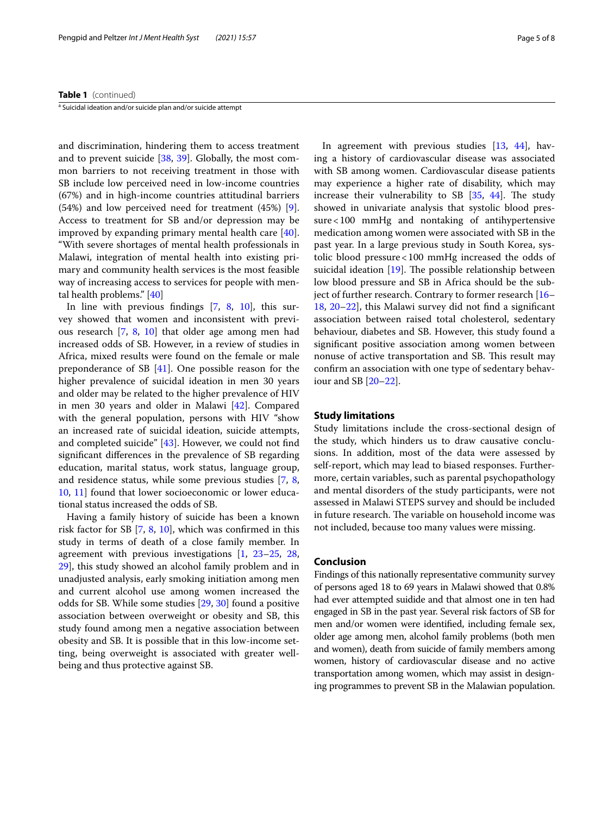#### **Table 1** (continued)

<sup>a</sup> Suicidal ideation and/or suicide plan and/or suicide attempt

and discrimination, hindering them to access treatment and to prevent suicide [\[38](#page-7-20), [39](#page-7-21)]. Globally, the most common barriers to not receiving treatment in those with SB include low perceived need in low-income countries (67%) and in high-income countries attitudinal barriers (54%) and low perceived need for treatment (45%) [\[9](#page-6-8)]. Access to treatment for SB and/or depression may be improved by expanding primary mental health care  $[40]$  $[40]$ . "With severe shortages of mental health professionals in Malawi, integration of mental health into existing primary and community health services is the most feasible way of increasing access to services for people with mental health problems." [[40](#page-7-22)]

In line with previous fndings [[7,](#page-6-6) [8,](#page-6-7) [10](#page-6-9)], this survey showed that women and inconsistent with previous research [\[7](#page-6-6), [8](#page-6-7), [10\]](#page-6-9) that older age among men had increased odds of SB. However, in a review of studies in Africa, mixed results were found on the female or male preponderance of SB [[41](#page-7-23)]. One possible reason for the higher prevalence of suicidal ideation in men 30 years and older may be related to the higher prevalence of HIV in men 30 years and older in Malawi [\[42](#page-7-24)]. Compared with the general population, persons with HIV "show an increased rate of suicidal ideation, suicide attempts, and completed suicide" [[43\]](#page-7-25). However, we could not fnd signifcant diferences in the prevalence of SB regarding education, marital status, work status, language group, and residence status, while some previous studies [[7,](#page-6-6) [8](#page-6-7), [10,](#page-6-9) [11\]](#page-6-10) found that lower socioeconomic or lower educational status increased the odds of SB.

Having a family history of suicide has been a known risk factor for SB [[7,](#page-6-6) [8](#page-6-7), [10](#page-6-9)], which was confrmed in this study in terms of death of a close family member. In agreement with previous investigations [\[1](#page-6-0), [23](#page-7-6)[–25](#page-7-7), [28](#page-7-10), [29\]](#page-7-11), this study showed an alcohol family problem and in unadjusted analysis, early smoking initiation among men and current alcohol use among women increased the odds for SB. While some studies [[29,](#page-7-11) [30](#page-7-12)] found a positive association between overweight or obesity and SB, this study found among men a negative association between obesity and SB. It is possible that in this low-income setting, being overweight is associated with greater wellbeing and thus protective against SB.

In agreement with previous studies [[13,](#page-6-11) [44](#page-7-26)], having a history of cardiovascular disease was associated with SB among women. Cardiovascular disease patients may experience a higher rate of disability, which may increase their vulnerability to SB  $[35, 44]$  $[35, 44]$  $[35, 44]$  $[35, 44]$  $[35, 44]$ . The study showed in univariate analysis that systolic blood pressure < 100 mmHg and nontaking of antihypertensive medication among women were associated with SB in the past year. In a large previous study in South Korea, systolic blood pressure<100 mmHg increased the odds of suicidal ideation  $[19]$  $[19]$ . The possible relationship between low blood pressure and SB in Africa should be the subject of further research. Contrary to former research [[16–](#page-7-0) [18,](#page-7-2) [20–](#page-7-4)[22\]](#page-7-5), this Malawi survey did not fnd a signifcant association between raised total cholesterol, sedentary behaviour, diabetes and SB. However, this study found a signifcant positive association among women between nonuse of active transportation and SB. This result may confrm an association with one type of sedentary behaviour and SB [[20–](#page-7-4)[22](#page-7-5)].

#### **Study limitations**

Study limitations include the cross-sectional design of the study, which hinders us to draw causative conclusions. In addition, most of the data were assessed by self-report, which may lead to biased responses. Furthermore, certain variables, such as parental psychopathology and mental disorders of the study participants, were not assessed in Malawi STEPS survey and should be included in future research. The variable on household income was not included, because too many values were missing.

#### **Conclusion**

Findings of this nationally representative community survey of persons aged 18 to 69 years in Malawi showed that 0.8% had ever attempted suidide and that almost one in ten had engaged in SB in the past year. Several risk factors of SB for men and/or women were identifed, including female sex, older age among men, alcohol family problems (both men and women), death from suicide of family members among women, history of cardiovascular disease and no active transportation among women, which may assist in designing programmes to prevent SB in the Malawian population.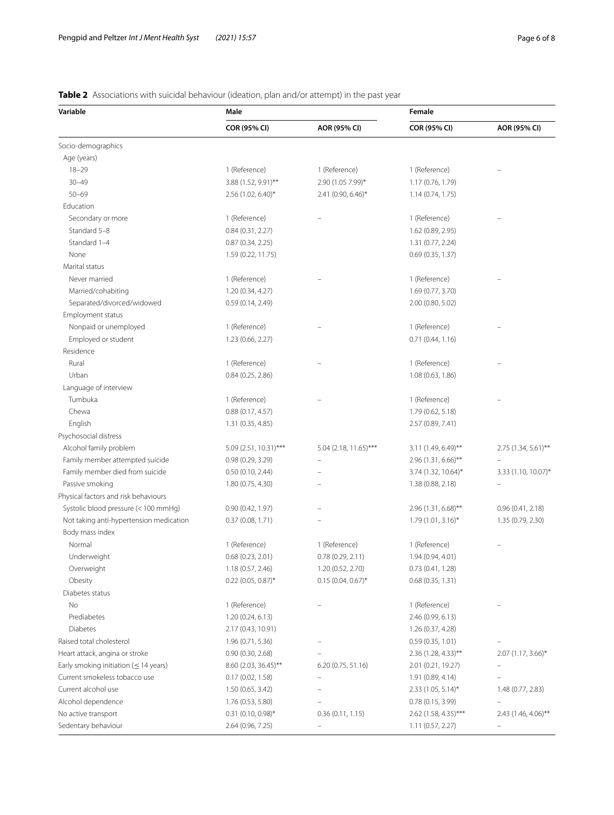# <span id="page-5-0"></span>**Table 2** Associations with suicidal behaviour (ideation, plan and/or attempt) in the past year

| Variable                                    | Male                  |                          | Female                 |                      |
|---------------------------------------------|-----------------------|--------------------------|------------------------|----------------------|
|                                             | COR (95% CI)          | AOR (95% CI)             | COR (95% CI)           | AOR (95% CI)         |
| Socio-demographics                          |                       |                          |                        |                      |
| Age (years)                                 |                       |                          |                        |                      |
| $18 - 29$                                   | 1 (Reference)         | 1 (Reference)            | 1 (Reference)          |                      |
| $30 - 49$                                   | 3.88 (1.52, 9.91)**   | 2.90 (1.05 7.99)*        | 1.17 (0.76, 1.79)      |                      |
| $50 - 69$                                   | 2.56 (1.02, 6.40)*    | 2.41 (0.90, 6.46)*       | 1.14(0.74, 1.75)       |                      |
| Education                                   |                       |                          |                        |                      |
| Secondary or more                           | 1 (Reference)         |                          | 1 (Reference)          |                      |
| Standard 5-8                                | 0.84(0.31, 2.27)      |                          | 1.62 (0.89, 2.95)      |                      |
| Standard 1-4                                | 0.87(0.34, 2.25)      |                          | 1.31 (0.77, 2.24)      |                      |
| None                                        | 1.59 (0.22, 11.75)    |                          | 0.69(0.35, 1.37)       |                      |
| Marital status                              |                       |                          |                        |                      |
| Never married                               | 1 (Reference)         |                          | 1 (Reference)          |                      |
| Married/cohabiting                          | 1.20 (0.34, 4.27)     |                          | 1.69 (0.77, 3.70)      |                      |
| Separated/divorced/widowed                  | 0.59(0.14, 2.49)      |                          | 2.00 (0.80, 5.02)      |                      |
| Employment status                           |                       |                          |                        |                      |
| Nonpaid or unemployed                       | 1 (Reference)         |                          | 1 (Reference)          |                      |
| Employed or student                         | 1.23 (0.66, 2.27)     |                          | 0.71(0.44, 1.16)       |                      |
| Residence                                   |                       |                          |                        |                      |
| Rural                                       | 1 (Reference)         |                          | 1 (Reference)          |                      |
| Urban                                       | 0.84(0.25, 2.86)      |                          | 1.08(0.63, 1.86)       |                      |
| Language of interview                       |                       |                          |                        |                      |
| Tumbuka                                     | 1 (Reference)         |                          | 1 (Reference)          |                      |
| Chewa                                       | 0.88(0.17, 4.57)      |                          | 1.79 (0.62, 5.18)      |                      |
| English                                     | 1.31 (0.35, 4.85)     |                          | 2.57 (0.89, 7.41)      |                      |
| Psychosocial distress                       |                       |                          |                        |                      |
| Alcohol family problem                      | 5.09 (2.51, 10.31)*** | 5.04 (2.18, 11.65)***    | 3.11 (1.49, 6.49)**    | 2.75 (1.34, 5.61)**  |
| Family member attempted suicide             | 0.98(0.29, 3.29)      |                          | $2.96$ (1.31, 6.66)**  |                      |
| Family member died from suicide             | 0.50(0.10, 2.44)      |                          | 3.74 (1.32, 10.64)*    | 3.33 (1.10, 10.07)*  |
| Passive smoking                             | 1.80 (0.75, 4.30)     |                          | 1.38 (0.88, 2.18)      |                      |
| Physical factors and risk behaviours        |                       |                          |                        |                      |
| Systolic blood pressure (< 100 mmHg)        | 0.90(0.42, 1.97)      |                          | 2.96 (1.31, 6.68)**    | 0.96(0.41, 2.18)     |
| Not taking anti-hypertension medication     | 0.37(0.08, 1.71)      |                          | $1.79(1.01, 3.16)^*$   | 1.35 (0.79, 2.30)    |
| Body mass index                             |                       |                          |                        |                      |
| Normal                                      | 1 (Reference)         | 1 (Reference)            | 1 (Reference)          |                      |
| Underweight                                 | 0.68 (0.23, 2.01)     | 0.78(0.29, 2.11)         | 1.94 (0.94, 4.01)      |                      |
| Overweight                                  | 1.18 (0.57, 2.46)     | 1.20 (0.52, 2.70)        | 0.73(0.41, 1.28)       |                      |
| Obesity                                     | $0.22$ (0.05, 0.87)*  | $0.15(0.04, 0.67)$ *     | 0.68(0.35, 1.31)       |                      |
| Diabetes status                             |                       |                          |                        |                      |
| No                                          | 1 (Reference)         |                          | 1 (Reference)          |                      |
| Prediabetes                                 | 1.20(0.24, 6.13)      |                          | 2.46 (0.99, 6.13)      |                      |
| Diabetes                                    | 2.17 (0.43, 10.91)    |                          | 1.26 (0.37, 4.28)      |                      |
| Raised total cholesterol                    | 1.96 (0.71, 5.36)     |                          | 0.59(0.35, 1.01)       |                      |
| Heart attack, angina or stroke              | 0.90(0.30, 2.68)      |                          | $2.36$ (1.28, 4.33)**  | $2.07(1.17, 3.66)^*$ |
| Early smoking initiation ( $\leq$ 14 years) | 8.60 (2.03, 36.45)**  | 6.20 (0.75, 51.16)       | 2.01 (0.21, 19.27)     |                      |
| Current smokeless tobacco use               | 0.17(0.02, 1.58)      | $\overline{\phantom{0}}$ | 1.91 (0.89, 4.14)      |                      |
| Current alcohol use                         | 1.50 (0.65, 3.42)     |                          | $2.33(1.05, 5.14)^{*}$ | 1.48 (0.77, 2.83)    |
| Alcohol dependence                          | 1.76 (0.53, 5.80)     |                          | 0.78(0.15, 3.99)       |                      |
| No active transport                         | $0.31$ (0.10, 0.98)*  | 0.36(0.11, 1.15)         | $2.62$ (1.58, 4.35)*** | 2.43 (1.46, 4.06)**  |
| Sedentary behaviour                         | 2.64 (0.96, 7.25)     |                          | 1.11(0.57, 2.27)       |                      |
|                                             |                       |                          |                        |                      |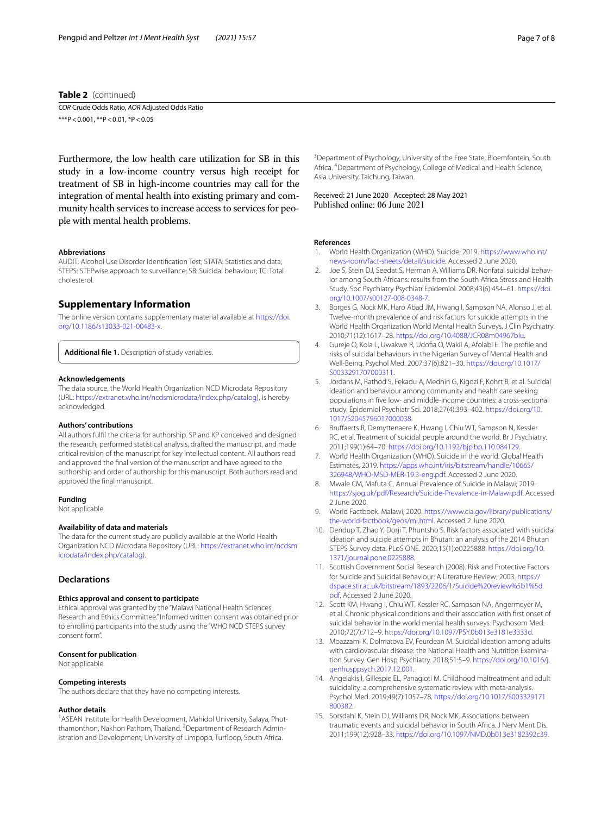#### **Table 2** (continued)

*COR* Crude Odds Ratio, *AOR* Adjusted Odds Ratio \*\*\*P < 0.001, \*\*P < 0.01, \*P < 0.05

Furthermore, the low health care utilization for SB in this study in a low-income country versus high receipt for treatment of SB in high-income countries may call for the integration of mental health into existing primary and community health services to increase access to services for people with mental health problems.

#### **Abbreviations**

AUDIT: Alcohol Use Disorder Identifcation Test; STATA: Statistics and data; STEPS: STEPwise approach to surveillance; SB: Suicidal behaviour; TC: Total cholesterol.

#### **Supplementary Information**

The online version contains supplementary material available at [https://doi.](https://doi.org/10.1186/s13033-021-00483-x) [org/10.1186/s13033-021-00483-x.](https://doi.org/10.1186/s13033-021-00483-x)

<span id="page-6-14"></span>**Additional fle 1.** Description of study variables.

#### **Acknowledgements**

The data source, the World Health Organization NCD Microdata Repository (URL:<https://extranet.who.int/ncdsmicrodata/index.php/catalog>), is hereby acknowledged.

#### **Authors' contributions**

All authors fulfl the criteria for authorship. SP and KP conceived and designed the research, performed statistical analysis, drafted the manuscript, and made critical revision of the manuscript for key intellectual content. All authors read and approved the fnal version of the manuscript and have agreed to the authorship and order of authorship for this manuscript. Both authors read and approved the fnal manuscript.

#### **Funding**

Not applicable.

#### **Availability of data and materials**

The data for the current study are publicly available at the World Health Organization NCD Microdata Repository (URL: [https://extranet.who.int/ncdsm](https://extranet.who.int/ncdsmicrodata/index.php/catalog) [icrodata/index.php/catalog](https://extranet.who.int/ncdsmicrodata/index.php/catalog)).

#### **Declarations**

#### **Ethics approval and consent to participate**

Ethical approval was granted by the "Malawi National Health Sciences Research and Ethics Committee." Informed written consent was obtained prior to enrolling participants into the study using the "WHO NCD STEPS survey consent form".

#### **Consent for publication**

Not applicable.

#### **Competing interests**

The authors declare that they have no competing interests.

#### **Author details**

<sup>1</sup> ASEAN Institute for Health Development, Mahidol University, Salaya, Phutthamonthon, Nakhon Pathom, Thailand. <sup>2</sup> Department of Research Administration and Development, University of Limpopo, Turfloop, South Africa.

<sup>3</sup> Department of Psychology, University of the Free State, Bloemfontein, South Africa. 4 Department of Psychology, College of Medical and Health Science, Asia University, Taichung, Taiwan.

Received: 21 June 2020 Accepted: 28 May 2021<br>Published online: 06 June 2021

#### **References**

- <span id="page-6-0"></span>1. World Health Organization (WHO). Suicide; 2019. [https://www.who.int/](https://www.who.int/news-room/fact-sheets/detail/suicide) [news-room/fact-sheets/detail/suicide](https://www.who.int/news-room/fact-sheets/detail/suicide). Accessed 2 June 2020.
- <span id="page-6-1"></span>Joe S, Stein DJ, Seedat S, Herman A, Williams DR. Nonfatal suicidal behavior among South Africans: results from the South Africa Stress and Health Study. Soc Psychiatry Psychiatr Epidemiol. 2008;43(6):454–61. [https://doi.](https://doi.org/10.1007/s00127-008-0348-7) [org/10.1007/s00127-008-0348-7.](https://doi.org/10.1007/s00127-008-0348-7)
- <span id="page-6-2"></span>3. Borges G, Nock MK, Haro Abad JM, Hwang I, Sampson NA, Alonso J, et al. Twelve-month prevalence of and risk factors for suicide attempts in the World Health Organization World Mental Health Surveys. J Clin Psychiatry. 2010;71(12):1617–28.<https://doi.org/10.4088/JCP.08m04967blu>.
- <span id="page-6-3"></span>4. Gureje O, Kola L, Uwakwe R, Udofa O, Wakil A, Afolabi E. The profle and risks of suicidal behaviours in the Nigerian Survey of Mental Health and Well-Being. Psychol Med. 2007;37(6):821–30. [https://doi.org/10.1017/](https://doi.org/10.1017/S0033291707000311) [S0033291707000311.](https://doi.org/10.1017/S0033291707000311)
- <span id="page-6-4"></span>5. Jordans M, Rathod S, Fekadu A, Medhin G, Kigozi F, Kohrt B, et al. Suicidal ideation and behaviour among community and health care seeking populations in fve low- and middle-income countries: a cross-sectional study. Epidemiol Psychiatr Sci. 2018;27(4):393–402. [https://doi.org/10.](https://doi.org/10.1017/S2045796017000038) [1017/S2045796017000038](https://doi.org/10.1017/S2045796017000038).
- <span id="page-6-5"></span>6. Brufaerts R, Demyttenaere K, Hwang I, Chiu WT, Sampson N, Kessler RC, et al. Treatment of suicidal people around the world. Br J Psychiatry. 2011;199(1):64–70. [https://doi.org/10.1192/bjp.bp.110.084129.](https://doi.org/10.1192/bjp.bp.110.084129)
- <span id="page-6-6"></span>7. World Health Organization (WHO). Suicide in the world. Global Health Estimates, 2019. [https://apps.who.int/iris/bitstream/handle/10665/](https://apps.who.int/iris/bitstream/handle/10665/326948/WHO-MSD-MER-19.3-eng.pdf) [326948/WHO-MSD-MER-19.3-eng.pdf](https://apps.who.int/iris/bitstream/handle/10665/326948/WHO-MSD-MER-19.3-eng.pdf). Accessed 2 June 2020.
- <span id="page-6-7"></span>8. Mwale CM, Mafuta C. Annual Prevalence of Suicide in Malawi; 2019. [https://sjog.uk/pdf/Research/Suicide-Prevalence-in-Malawi.pdf.](https://sjog.uk/pdf/Research/Suicide-Prevalence-in-Malawi.pdf) Accessed 2 June 2020.
- <span id="page-6-8"></span>9. World Factbook. Malawi; 2020. [https://www.cia.gov/library/publications/](https://www.cia.gov/library/publications/the-world-factbook/geos/mi.html) [the-world-factbook/geos/mi.html.](https://www.cia.gov/library/publications/the-world-factbook/geos/mi.html) Accessed 2 June 2020.
- <span id="page-6-9"></span>10. Dendup T, Zhao Y, Dorji T, Phuntsho S. Risk factors associated with suicidal ideation and suicide attempts in Bhutan: an analysis of the 2014 Bhutan STEPS Survey data. PLoS ONE. 2020;15(1):e0225888. [https://doi.org/10.](https://doi.org/10.1371/journal.pone.0225888) [1371/journal.pone.0225888.](https://doi.org/10.1371/journal.pone.0225888)
- <span id="page-6-10"></span>11. Scottish Government Social Research (2008). Risk and Protective Factors for Suicide and Suicidal Behaviour: A Literature Review; 2003. [https://](https://dspace.stir.ac.uk/bitstream/1893/2206/1/Suicide%20review%5b1%5d.pdf) [dspace.stir.ac.uk/bitstream/1893/2206/1/Suicide%20review%5b1%5d.](https://dspace.stir.ac.uk/bitstream/1893/2206/1/Suicide%20review%5b1%5d.pdf) [pdf.](https://dspace.stir.ac.uk/bitstream/1893/2206/1/Suicide%20review%5b1%5d.pdf) Accessed 2 June 2020.
- 12. Scott KM, Hwang I, Chiu WT, Kessler RC, Sampson NA, Angermeyer M, et al. Chronic physical conditions and their association with frst onset of suicidal behavior in the world mental health surveys. Psychosom Med. 2010;72(7):712–9.<https://doi.org/10.1097/PSY.0b013e3181e3333d>.
- <span id="page-6-11"></span>13. Moazzami K, Dolmatova EV, Feurdean M. Suicidal ideation among adults with cardiovascular disease: the National Health and Nutrition Examination Survey. Gen Hosp Psychiatry. 2018;51:5–9. [https://doi.org/10.1016/j.](https://doi.org/10.1016/j.genhosppsych.2017.12.001) [genhosppsych.2017.12.001.](https://doi.org/10.1016/j.genhosppsych.2017.12.001)
- <span id="page-6-12"></span>14. Angelakis I, Gillespie EL, Panagioti M. Childhood maltreatment and adult suicidality: a comprehensive systematic review with meta-analysis. Psychol Med. 2019;49(7):1057–78. [https://doi.org/10.1017/S003329171](https://doi.org/10.1017/S003329171800382) [800382.](https://doi.org/10.1017/S003329171800382)
- <span id="page-6-13"></span>15. Sorsdahl K, Stein DJ, Williams DR, Nock MK. Associations between traumatic events and suicidal behavior in South Africa. J Nerv Ment Dis. 2011;199(12):928–33.<https://doi.org/10.1097/NMD.0b013e3182392c39>.